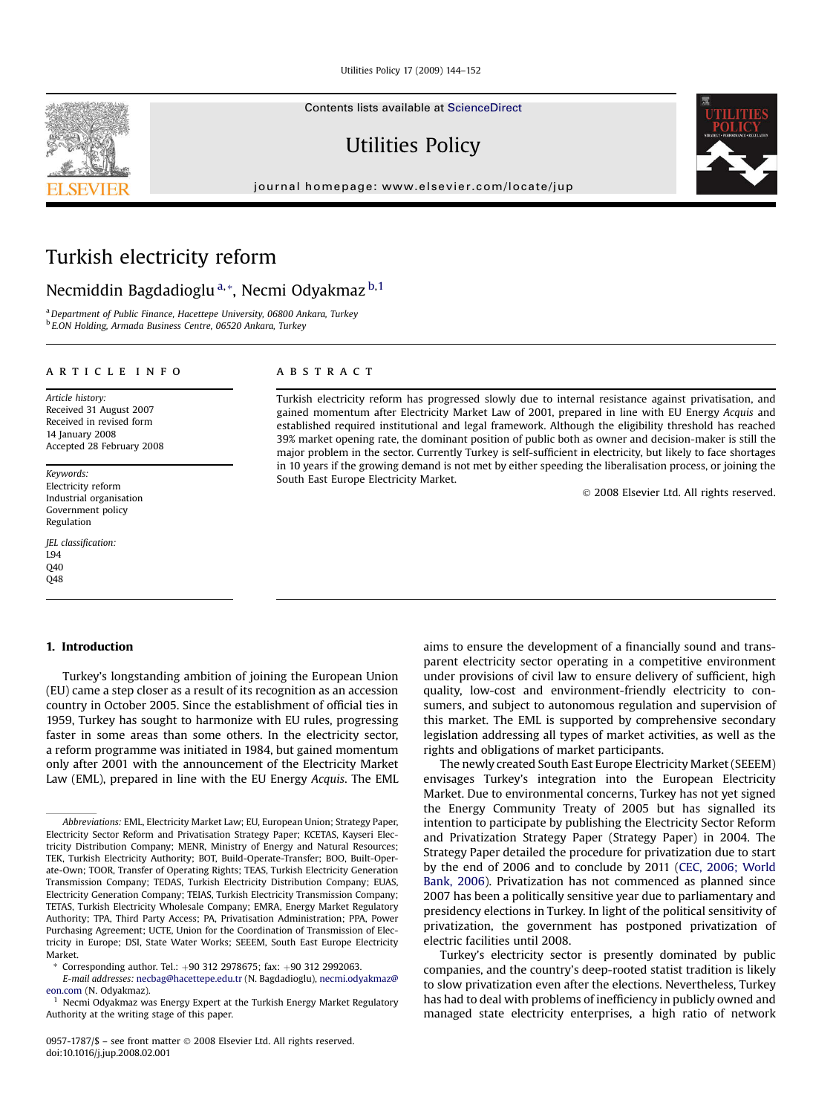Utilities Policy 17 (2009) 144–152

Contents lists available at [ScienceDirect](www.sciencedirect.com/science/journal/09571787)

# Utilities Policy

journal homepage: [www.elsevier.com/locate/jup](http://www.elsevier.com/locate/jup)

# Turkish electricity reform

## Necmiddin Bagdadioglu<sup>a,\*</sup>, Necmi Odyakmaz<sup>b,1</sup>

<sup>a</sup> Department of Public Finance, Hacettepe University, 06800 Ankara, Turkey <sup>b</sup> E.ON Holding, Armada Business Centre, 06520 Ankara, Turkey

#### article info

Article history: Received 31 August 2007 Received in revised form 14 **January** 2008 Accepted 28 February 2008

Keywords: Electricity reform Industrial organisation Government policy Regulation

JEL classification: L94 Q40 Q48

## ABSTRACT

Turkish electricity reform has progressed slowly due to internal resistance against privatisation, and gained momentum after Electricity Market Law of 2001, prepared in line with EU Energy Acquis and established required institutional and legal framework. Although the eligibility threshold has reached 39% market opening rate, the dominant position of public both as owner and decision-maker is still the major problem in the sector. Currently Turkey is self-sufficient in electricity, but likely to face shortages in 10 years if the growing demand is not met by either speeding the liberalisation process, or joining the South East Europe Electricity Market.

- 2008 Elsevier Ltd. All rights reserved.

#### 1. Introduction

Turkey's longstanding ambition of joining the European Union (EU) came a step closer as a result of its recognition as an accession country in October 2005. Since the establishment of official ties in 1959, Turkey has sought to harmonize with EU rules, progressing faster in some areas than some others. In the electricity sector, a reform programme was initiated in 1984, but gained momentum only after 2001 with the announcement of the Electricity Market Law (EML), prepared in line with the EU Energy Acquis. The EML

E-mail addresses: [necbag@hacettepe.edu.tr](mailto:necbag@hacettepe.edu.tr) (N. Bagdadioglu), [necmi.odyakmaz@](mailto:necmi.odyakmaz@eon.com) [eon.com](mailto:necmi.odyakmaz@eon.com) (N. Odyakmaz).

aims to ensure the development of a financially sound and transparent electricity sector operating in a competitive environment under provisions of civil law to ensure delivery of sufficient, high quality, low-cost and environment-friendly electricity to consumers, and subject to autonomous regulation and supervision of this market. The EML is supported by comprehensive secondary legislation addressing all types of market activities, as well as the rights and obligations of market participants.

The newly created South East Europe Electricity Market (SEEEM) envisages Turkey's integration into the European Electricity Market. Due to environmental concerns, Turkey has not yet signed the Energy Community Treaty of 2005 but has signalled its intention to participate by publishing the Electricity Sector Reform and Privatization Strategy Paper (Strategy Paper) in 2004. The Strategy Paper detailed the procedure for privatization due to start by the end of 2006 and to conclude by 2011 ([CEC, 2006; World](#page--1-0) [Bank, 2006](#page--1-0)). Privatization has not commenced as planned since 2007 has been a politically sensitive year due to parliamentary and presidency elections in Turkey. In light of the political sensitivity of privatization, the government has postponed privatization of electric facilities until 2008.

Turkey's electricity sector is presently dominated by public companies, and the country's deep-rooted statist tradition is likely to slow privatization even after the elections. Nevertheless, Turkey has had to deal with problems of inefficiency in publicly owned and managed state electricity enterprises, a high ratio of network





Abbreviations: EML, Electricity Market Law; EU, European Union; Strategy Paper, Electricity Sector Reform and Privatisation Strategy Paper; KCETAS, Kayseri Electricity Distribution Company; MENR, Ministry of Energy and Natural Resources; TEK, Turkish Electricity Authority; BOT, Build-Operate-Transfer; BOO, Built-Operate-Own; TOOR, Transfer of Operating Rights; TEAS, Turkish Electricity Generation Transmission Company; TEDAS, Turkish Electricity Distribution Company; EUAS, Electricity Generation Company; TEIAS, Turkish Electricity Transmission Company; TETAS, Turkish Electricity Wholesale Company; EMRA, Energy Market Regulatory Authority; TPA, Third Party Access; PA, Privatisation Administration; PPA, Power Purchasing Agreement; UCTE, Union for the Coordination of Transmission of Electricity in Europe; DSI, State Water Works; SEEEM, South East Europe Electricity Market.

Corresponding author. Tel.:  $+90$  312 2978675; fax:  $+90$  312 2992063.

<sup>&</sup>lt;sup>1</sup> Necmi Odyakmaz was Energy Expert at the Turkish Energy Market Regulatory Authority at the writing stage of this paper.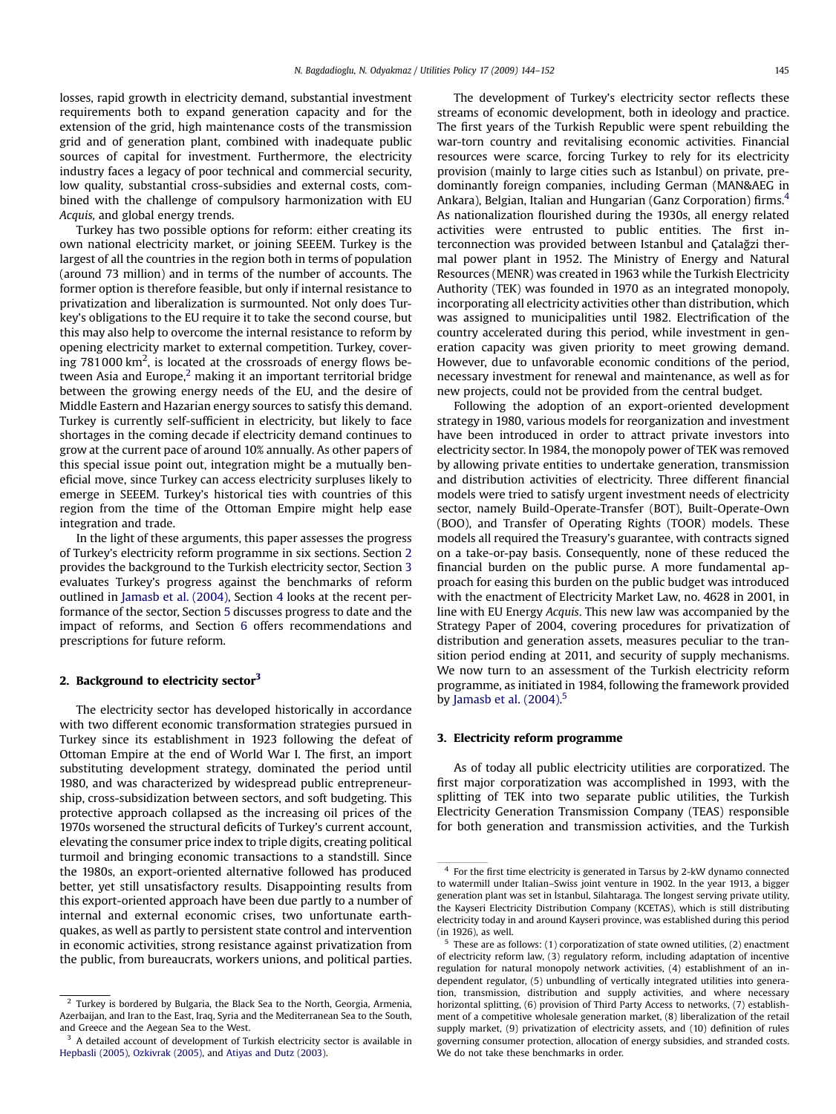losses, rapid growth in electricity demand, substantial investment requirements both to expand generation capacity and for the extension of the grid, high maintenance costs of the transmission grid and of generation plant, combined with inadequate public sources of capital for investment. Furthermore, the electricity industry faces a legacy of poor technical and commercial security, low quality, substantial cross-subsidies and external costs, combined with the challenge of compulsory harmonization with EU Acquis, and global energy trends.

Turkey has two possible options for reform: either creating its own national electricity market, or joining SEEEM. Turkey is the largest of all the countries in the region both in terms of population (around 73 million) and in terms of the number of accounts. The former option is therefore feasible, but only if internal resistance to privatization and liberalization is surmounted. Not only does Turkey's obligations to the EU require it to take the second course, but this may also help to overcome the internal resistance to reform by opening electricity market to external competition. Turkey, covering 781000 km<sup>2</sup>, is located at the crossroads of energy flows between Asia and Europe, $2$  making it an important territorial bridge between the growing energy needs of the EU, and the desire of Middle Eastern and Hazarian energy sources to satisfy this demand. Turkey is currently self-sufficient in electricity, but likely to face shortages in the coming decade if electricity demand continues to grow at the current pace of around 10% annually. As other papers of this special issue point out, integration might be a mutually beneficial move, since Turkey can access electricity surpluses likely to emerge in SEEEM. Turkey's historical ties with countries of this region from the time of the Ottoman Empire might help ease integration and trade.

In the light of these arguments, this paper assesses the progress of Turkey's electricity reform programme in six sections. Section 2 provides the background to the Turkish electricity sector, Section 3 evaluates Turkey's progress against the benchmarks of reform outlined in [Jamasb et al. \(2004\)](#page--1-0), Section [4](#page--1-0) looks at the recent performance of the sector, Section [5](#page--1-0) discusses progress to date and the impact of reforms, and Section [6](#page--1-0) offers recommendations and prescriptions for future reform.

### 2. Background to electricity sector<sup>3</sup>

The electricity sector has developed historically in accordance with two different economic transformation strategies pursued in Turkey since its establishment in 1923 following the defeat of Ottoman Empire at the end of World War I. The first, an import substituting development strategy, dominated the period until 1980, and was characterized by widespread public entrepreneurship, cross-subsidization between sectors, and soft budgeting. This protective approach collapsed as the increasing oil prices of the 1970s worsened the structural deficits of Turkey's current account, elevating the consumer price index to triple digits, creating political turmoil and bringing economic transactions to a standstill. Since the 1980s, an export-oriented alternative followed has produced better, yet still unsatisfactory results. Disappointing results from this export-oriented approach have been due partly to a number of internal and external economic crises, two unfortunate earthquakes, as well as partly to persistent state control and intervention in economic activities, strong resistance against privatization from the public, from bureaucrats, workers unions, and political parties.

The development of Turkey's electricity sector reflects these streams of economic development, both in ideology and practice. The first years of the Turkish Republic were spent rebuilding the war-torn country and revitalising economic activities. Financial resources were scarce, forcing Turkey to rely for its electricity provision (mainly to large cities such as Istanbul) on private, predominantly foreign companies, including German (MAN&AEG in Ankara), Belgian, Italian and Hungarian (Ganz Corporation) firms.4 As nationalization flourished during the 1930s, all energy related activities were entrusted to public entities. The first interconnection was provided between Istanbul and Çatalağzi thermal power plant in 1952. The Ministry of Energy and Natural Resources (MENR) was created in 1963 while the Turkish Electricity Authority (TEK) was founded in 1970 as an integrated monopoly, incorporating all electricity activities other than distribution, which was assigned to municipalities until 1982. Electrification of the country accelerated during this period, while investment in generation capacity was given priority to meet growing demand. However, due to unfavorable economic conditions of the period, necessary investment for renewal and maintenance, as well as for new projects, could not be provided from the central budget.

Following the adoption of an export-oriented development strategy in 1980, various models for reorganization and investment have been introduced in order to attract private investors into electricity sector. In 1984, the monopoly power of TEK was removed by allowing private entities to undertake generation, transmission and distribution activities of electricity. Three different financial models were tried to satisfy urgent investment needs of electricity sector, namely Build-Operate-Transfer (BOT), Built-Operate-Own (BOO), and Transfer of Operating Rights (TOOR) models. These models all required the Treasury's guarantee, with contracts signed on a take-or-pay basis. Consequently, none of these reduced the financial burden on the public purse. A more fundamental approach for easing this burden on the public budget was introduced with the enactment of Electricity Market Law, no. 4628 in 2001, in line with EU Energy Acquis. This new law was accompanied by the Strategy Paper of 2004, covering procedures for privatization of distribution and generation assets, measures peculiar to the transition period ending at 2011, and security of supply mechanisms. We now turn to an assessment of the Turkish electricity reform programme, as initiated in 1984, following the framework provided by [Jamasb et al. \(2004\).](#page--1-0) 5

#### 3. Electricity reform programme

As of today all public electricity utilities are corporatized. The first major corporatization was accomplished in 1993, with the splitting of TEK into two separate public utilities, the Turkish Electricity Generation Transmission Company (TEAS) responsible for both generation and transmission activities, and the Turkish

Turkey is bordered by Bulgaria, the Black Sea to the North, Georgia, Armenia, Azerbaijan, and Iran to the East, Iraq, Syria and the Mediterranean Sea to the South, and Greece and the Aegean Sea to the West.

<sup>&</sup>lt;sup>3</sup> A detailed account of development of Turkish electricity sector is available in [Hepbasli \(2005\), Ozkivrak \(2005\)](#page--1-0), and [Atiyas and Dutz \(2003\)](#page--1-0).

<sup>4</sup> For the first time electricity is generated in Tarsus by 2-kW dynamo connected to watermill under Italian–Swiss joint venture in 1902. In the year 1913, a bigger generation plant was set in İstanbul, Silahtaraga. The longest serving private utility the Kayseri Electricity Distribution Company (KCETAS), which is still distributing electricity today in and around Kayseri province, was established during this period (in 1926), as well.

<sup>5</sup> These are as follows: (1) corporatization of state owned utilities, (2) enactment of electricity reform law, (3) regulatory reform, including adaptation of incentive regulation for natural monopoly network activities, (4) establishment of an independent regulator, (5) unbundling of vertically integrated utilities into generation, transmission, distribution and supply activities, and where necessary horizontal splitting, (6) provision of Third Party Access to networks, (7) establishment of a competitive wholesale generation market, (8) liberalization of the retail supply market, (9) privatization of electricity assets, and (10) definition of rules governing consumer protection, allocation of energy subsidies, and stranded costs. We do not take these benchmarks in order.